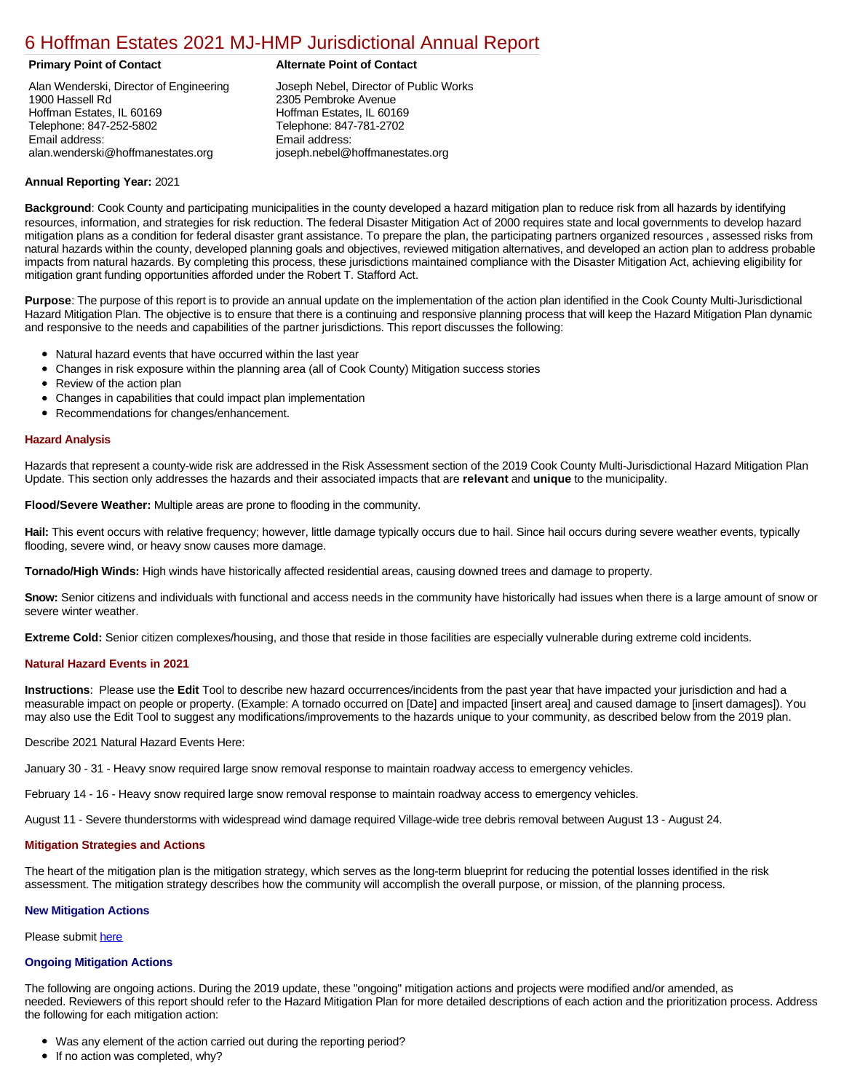# [6 Hoffman Estates 2021 MJ-HMP Jurisdictional Annual Report](https://hoffman.isc-cemp.com/Cemp/Details?id=8322789)

Alan Wenderski, Director of Engineering 1900 Hassell Rd Hoffman Estates, IL 60169 Telephone: 847-252-5802 Email address: alan.wenderski@hoffmanestates.org

### **Primary Point of Contact Alternate Point of Contact**

Joseph Nebel, Director of Public Works 2305 Pembroke Avenue Hoffman Estates, IL 60169 Telephone: 847-781-2702 Email address: joseph.nebel@hoffmanestates.org

#### **Annual Reporting Year:** 2021

**Background**: Cook County and participating municipalities in the county developed a hazard mitigation plan to reduce risk from all hazards by identifying resources, information, and strategies for risk reduction. The federal Disaster Mitigation Act of 2000 requires state and local governments to develop hazard mitigation plans as a condition for federal disaster grant assistance. To prepare the plan, the participating partners organized resources , assessed risks from natural hazards within the county, developed planning goals and objectives, reviewed mitigation alternatives, and developed an action plan to address probable impacts from natural hazards. By completing this process, these jurisdictions maintained compliance with the Disaster Mitigation Act, achieving eligibility for mitigation grant funding opportunities afforded under the Robert T. Stafford Act.

**Purpose**: The purpose of this report is to provide an annual update on the implementation of the action plan identified in the Cook County Multi-Jurisdictional Hazard Mitigation Plan. The objective is to ensure that there is a continuing and responsive planning process that will keep the Hazard Mitigation Plan dynamic and responsive to the needs and capabilities of the partner jurisdictions. This report discusses the following:

- Natural hazard events that have occurred within the last year
- Changes in risk exposure within the planning area (all of Cook County) Mitigation success stories
- Review of the action plan
- Changes in capabilities that could impact plan implementation
- Recommendations for changes/enhancement.

#### **Hazard Analysis**

Hazards that represent a county-wide risk are addressed in the Risk Assessment section of the 2019 Cook County Multi-Jurisdictional Hazard Mitigation Plan Update. This section only addresses the hazards and their associated impacts that are **relevant** and **unique** to the municipality.

**Flood/Severe Weather:** Multiple areas are prone to flooding in the community.

**Hail:** This event occurs with relative frequency; however, little damage typically occurs due to hail. Since hail occurs during severe weather events, typically flooding, severe wind, or heavy snow causes more damage.

**Tornado/High Winds:** High winds have historically affected residential areas, causing downed trees and damage to property.

**Snow:** Senior citizens and individuals with functional and access needs in the community have historically had issues when there is a large amount of snow or severe winter weather.

**Extreme Cold:** Senior citizen complexes/housing, and those that reside in those facilities are especially vulnerable during extreme cold incidents.

#### **Natural Hazard Events in 2021**

**Instructions**: Please use the **Edit** Tool to describe new hazard occurrences/incidents from the past year that have impacted your jurisdiction and had a measurable impact on people or property. (Example: A tornado occurred on [Date] and impacted [insert area] and caused damage to [insert damages]). You may also use the Edit Tool to suggest any modifications/improvements to the hazards unique to your community, as described below from the 2019 plan.

Describe 2021 Natural Hazard Events Here:

January 30 - 31 - Heavy snow required large snow removal response to maintain roadway access to emergency vehicles.

February 14 - 16 - Heavy snow required large snow removal response to maintain roadway access to emergency vehicles.

August 11 - Severe thunderstorms with widespread wind damage required Village-wide tree debris removal between August 13 - August 24.

# **Mitigation Strategies and Actions**

The heart of the mitigation plan is the mitigation strategy, which serves as the long-term blueprint for reducing the potential losses identified in the risk assessment. The mitigation strategy describes how the community will accomplish the overall purpose, or mission, of the planning process.

# **New Mitigation Actions**

Please submit [here](https://integratedsolutions.wufoo.com/forms/mg21jvf0jn639o/)

# **Ongoing Mitigation Actions**

The following are ongoing actions. During the 2019 update, these "ongoing" mitigation actions and projects were modified and/or amended, as needed. Reviewers of this report should refer to the Hazard Mitigation Plan for more detailed descriptions of each action and the prioritization process. Address the following for each mitigation action:

- Was any element of the action carried out during the reporting period?
- If no action was completed, why?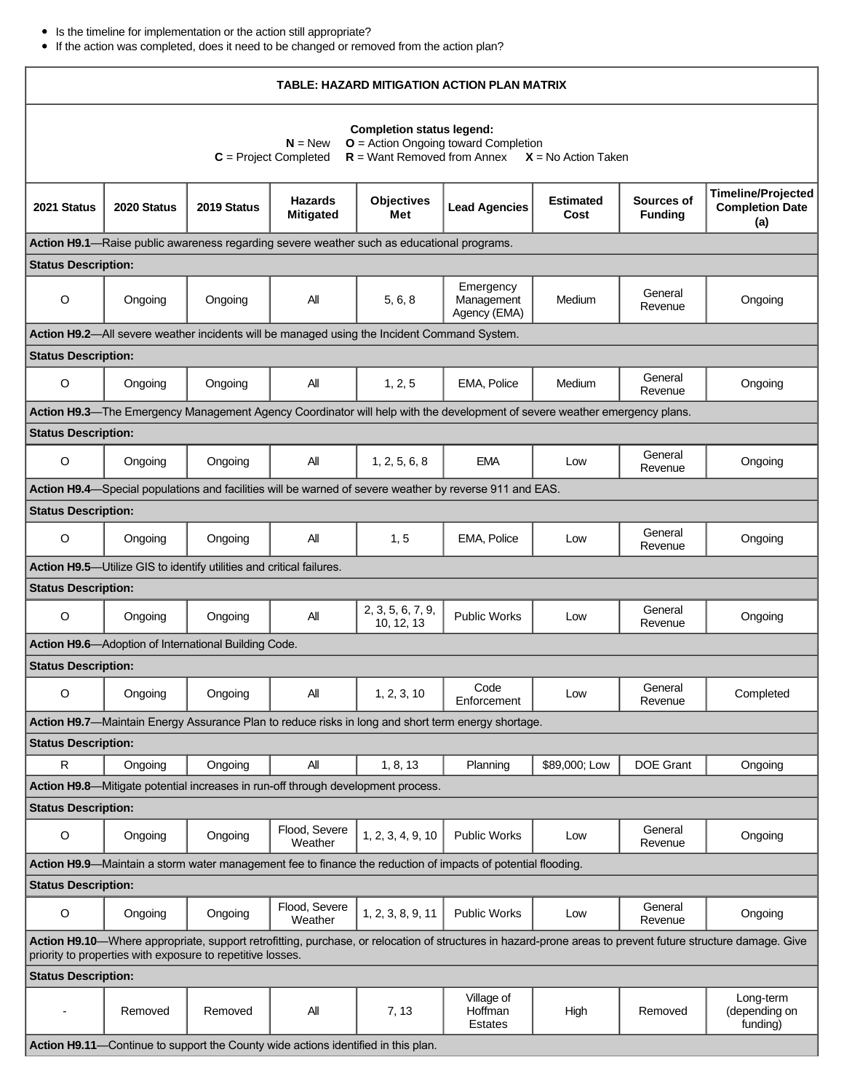- Is the timeline for implementation or the action still appropriate?
- If the action was completed, does it need to be changed or removed from the action plan?

| TABLE: HAZARD MITIGATION ACTION PLAN MATRIX                                                                                                                                                                              |                                                                      |             |                                                                                         |                                                                                             |                                                                                                         |                          |                              |                                                            |  |  |  |
|--------------------------------------------------------------------------------------------------------------------------------------------------------------------------------------------------------------------------|----------------------------------------------------------------------|-------------|-----------------------------------------------------------------------------------------|---------------------------------------------------------------------------------------------|---------------------------------------------------------------------------------------------------------|--------------------------|------------------------------|------------------------------------------------------------|--|--|--|
| <b>Completion status legend:</b><br>$O =$ Action Ongoing toward Completion<br>$N = New$<br>$R =$ Want Removed from Annex $X =$ No Action Taken<br>$C = Project Completed$                                                |                                                                      |             |                                                                                         |                                                                                             |                                                                                                         |                          |                              |                                                            |  |  |  |
| 2021 Status                                                                                                                                                                                                              | 2020 Status                                                          | 2019 Status | <b>Hazards</b><br><b>Mitigated</b>                                                      | <b>Objectives</b><br>Met                                                                    | <b>Lead Agencies</b>                                                                                    | <b>Estimated</b><br>Cost | Sources of<br><b>Funding</b> | <b>Timeline/Projected</b><br><b>Completion Date</b><br>(a) |  |  |  |
| Action H9.1—Raise public awareness regarding severe weather such as educational programs.                                                                                                                                |                                                                      |             |                                                                                         |                                                                                             |                                                                                                         |                          |                              |                                                            |  |  |  |
| <b>Status Description:</b>                                                                                                                                                                                               |                                                                      |             |                                                                                         |                                                                                             |                                                                                                         |                          |                              |                                                            |  |  |  |
| $\circ$                                                                                                                                                                                                                  | Ongoing                                                              | Ongoing     | All                                                                                     | 5, 6, 8                                                                                     | Emergency<br>Management<br>Agency (EMA)                                                                 | Medium                   | General<br>Revenue           | Ongoing                                                    |  |  |  |
|                                                                                                                                                                                                                          |                                                                      |             |                                                                                         | Action H9.2-All severe weather incidents will be managed using the Incident Command System. |                                                                                                         |                          |                              |                                                            |  |  |  |
| <b>Status Description:</b>                                                                                                                                                                                               |                                                                      |             |                                                                                         |                                                                                             |                                                                                                         |                          |                              |                                                            |  |  |  |
| $\circ$                                                                                                                                                                                                                  | Ongoing                                                              | Ongoing     | All                                                                                     | 1, 2, 5                                                                                     | EMA, Police                                                                                             | Medium                   | General<br>Revenue           | Ongoing                                                    |  |  |  |
| Action H9.3-The Emergency Management Agency Coordinator will help with the development of severe weather emergency plans.                                                                                                |                                                                      |             |                                                                                         |                                                                                             |                                                                                                         |                          |                              |                                                            |  |  |  |
| <b>Status Description:</b>                                                                                                                                                                                               |                                                                      |             |                                                                                         |                                                                                             |                                                                                                         |                          |                              |                                                            |  |  |  |
| $\circ$                                                                                                                                                                                                                  | Ongoing                                                              | Ongoing     | All                                                                                     | 1, 2, 5, 6, 8                                                                               | <b>EMA</b>                                                                                              | Low                      | General<br>Revenue           | Ongoing                                                    |  |  |  |
|                                                                                                                                                                                                                          |                                                                      |             |                                                                                         |                                                                                             | Action H9.4-Special populations and facilities will be warned of severe weather by reverse 911 and EAS. |                          |                              |                                                            |  |  |  |
| <b>Status Description:</b>                                                                                                                                                                                               |                                                                      |             |                                                                                         |                                                                                             |                                                                                                         |                          |                              |                                                            |  |  |  |
| O                                                                                                                                                                                                                        | Ongoing                                                              | Ongoing     | All                                                                                     | 1, 5                                                                                        | EMA, Police                                                                                             | Low                      | General<br>Revenue           | Ongoing                                                    |  |  |  |
|                                                                                                                                                                                                                          | Action H9.5-Utilize GIS to identify utilities and critical failures. |             |                                                                                         |                                                                                             |                                                                                                         |                          |                              |                                                            |  |  |  |
| <b>Status Description:</b>                                                                                                                                                                                               |                                                                      |             |                                                                                         |                                                                                             |                                                                                                         |                          |                              |                                                            |  |  |  |
| $\circ$                                                                                                                                                                                                                  | Ongoing                                                              | Ongoing     | All                                                                                     | 2, 3, 5, 6, 7, 9,<br>10, 12, 13                                                             | <b>Public Works</b>                                                                                     | Low                      | General<br>Revenue           | Ongoing                                                    |  |  |  |
|                                                                                                                                                                                                                          | Action H9.6-Adoption of International Building Code.                 |             |                                                                                         |                                                                                             |                                                                                                         |                          |                              |                                                            |  |  |  |
| <b>Status Description:</b>                                                                                                                                                                                               |                                                                      |             |                                                                                         |                                                                                             | Code                                                                                                    |                          |                              |                                                            |  |  |  |
| $\circ$                                                                                                                                                                                                                  | Ongoing                                                              | Ongoing     | All                                                                                     | 1, 2, 3, 10                                                                                 | Enforcement                                                                                             | Low                      | General<br>Revenue           | Completed                                                  |  |  |  |
|                                                                                                                                                                                                                          |                                                                      |             |                                                                                         |                                                                                             | Action H9.7—Maintain Energy Assurance Plan to reduce risks in long and short term energy shortage.      |                          |                              |                                                            |  |  |  |
| <b>Status Description:</b>                                                                                                                                                                                               |                                                                      |             |                                                                                         |                                                                                             |                                                                                                         |                          |                              |                                                            |  |  |  |
| $\mathsf{R}$                                                                                                                                                                                                             | Ongoing                                                              | Ongoing     | All<br>Action H9.8—Mitigate potential increases in run-off through development process. | 1, 8, 13                                                                                    | Planning                                                                                                | \$89,000; Low            | <b>DOE Grant</b>             | Ongoing                                                    |  |  |  |
| <b>Status Description:</b>                                                                                                                                                                                               |                                                                      |             |                                                                                         |                                                                                             |                                                                                                         |                          |                              |                                                            |  |  |  |
| O                                                                                                                                                                                                                        | Ongoing                                                              | Ongoing     | Flood, Severe<br>Weather                                                                | 1, 2, 3, 4, 9, 10                                                                           | <b>Public Works</b>                                                                                     | Low                      | General<br>Revenue           | Ongoing                                                    |  |  |  |
|                                                                                                                                                                                                                          |                                                                      |             |                                                                                         |                                                                                             |                                                                                                         |                          |                              |                                                            |  |  |  |
| Action H9.9-Maintain a storm water management fee to finance the reduction of impacts of potential flooding.<br><b>Status Description:</b>                                                                               |                                                                      |             |                                                                                         |                                                                                             |                                                                                                         |                          |                              |                                                            |  |  |  |
| $\mathsf O$                                                                                                                                                                                                              | Ongoing                                                              | Ongoing     | Flood, Severe<br>Weather                                                                | 1, 2, 3, 8, 9, 11                                                                           | <b>Public Works</b>                                                                                     | Low                      | General<br>Revenue           | Ongoing                                                    |  |  |  |
| Action H9.10—Where appropriate, support retrofitting, purchase, or relocation of structures in hazard-prone areas to prevent future structure damage. Give<br>priority to properties with exposure to repetitive losses. |                                                                      |             |                                                                                         |                                                                                             |                                                                                                         |                          |                              |                                                            |  |  |  |
| <b>Status Description:</b>                                                                                                                                                                                               |                                                                      |             |                                                                                         |                                                                                             |                                                                                                         |                          |                              |                                                            |  |  |  |
|                                                                                                                                                                                                                          | Removed                                                              | Removed     | All                                                                                     | 7, 13                                                                                       | Village of<br>Hoffman<br>Estates                                                                        | High                     | Removed                      | Long-term<br>(depending on<br>funding)                     |  |  |  |
|                                                                                                                                                                                                                          |                                                                      |             | Action H9.11-Continue to support the County wide actions identified in this plan.       |                                                                                             |                                                                                                         |                          |                              |                                                            |  |  |  |